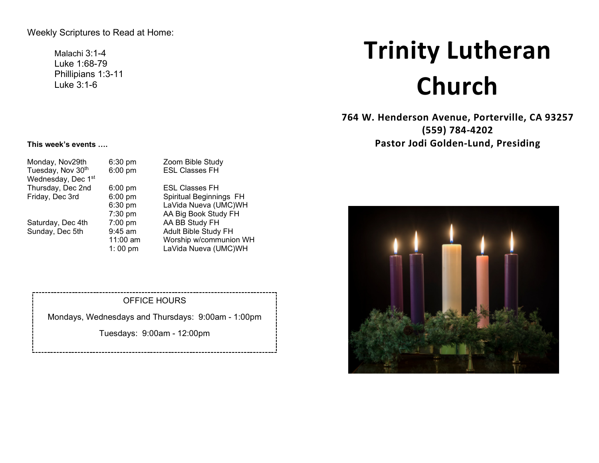Weekly Scriptures to Read at Home:

Malachi 3:1-4 Luke 1:68-79 Phillipians 1:3-11 Luke 3:1-6

# **Trinity Lutheran Church**

**764 W. Henderson Avenue, Porterville, CA 93257 (559) 784-4202 Pastor Jodi Golden-Lund, Presiding**



#### **This week's events ….**

| Monday, Nov29th<br>Tuesday, Nov 30th<br>Wednesday, Dec 1st | $6:30$ pm<br>6:00 pm                                   | Zoom Bible Study<br><b>ESL Classes FH</b>                                                                        |
|------------------------------------------------------------|--------------------------------------------------------|------------------------------------------------------------------------------------------------------------------|
| Thursday, Dec 2nd                                          | $6:00$ pm                                              | <b>ESL Classes FH</b>                                                                                            |
| Friday, Dec 3rd                                            | 6:00 pm<br>6:30 pm                                     | Spiritual Beginnings FH<br>LaVida Nueva (UMC)WH                                                                  |
| Saturday, Dec 4th<br>Sunday, Dec 5th                       | 7:30 pm<br>7:00 pm<br>$9:45$ am<br>11:00 am<br>1:00 pm | AA Big Book Study FH<br>AA BB Study FH<br>Adult Bible Study FH<br>Worship w/communion WH<br>LaVida Nueva (UMC)WH |

## OFFICE HOURS

Mondays, Wednesdays and Thursdays: 9:00am - 1:00pm

Tuesdays: 9:00am - 12:00pm